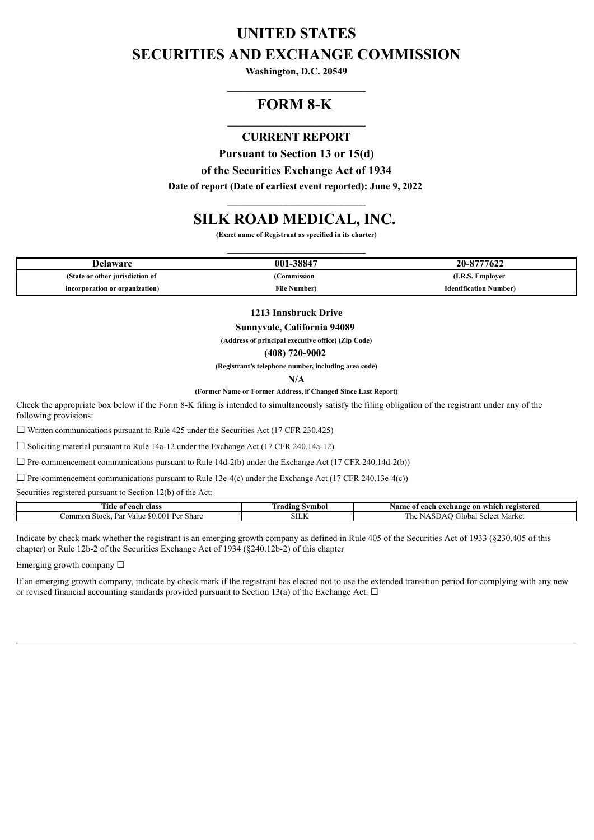# **UNITED STATES SECURITIES AND EXCHANGE COMMISSION**

**Washington, D.C. 20549 \_\_\_\_\_\_\_\_\_\_\_\_\_\_\_\_\_\_\_\_\_\_\_\_\_\_\_\_**

## **FORM 8-K**

### **\_\_\_\_\_\_\_\_\_\_\_\_\_\_\_\_\_\_\_\_\_\_\_\_\_\_\_\_ CURRENT REPORT**

**Pursuant to Section 13 or 15(d)**

**of the Securities Exchange Act of 1934**

**Date of report (Date of earliest event reported): June 9, 2022 \_\_\_\_\_\_\_\_\_\_\_\_\_\_\_\_\_\_\_\_\_\_\_\_\_\_\_\_**

## **SILK ROAD MEDICAL, INC.**

**(Exact name of Registrant as specified in its charter) \_\_\_\_\_\_\_\_\_\_\_\_\_\_\_\_\_\_\_\_\_\_\_\_\_\_\_\_**

| Delaware                        | 001-38847            | 20-8777622                    |
|---------------------------------|----------------------|-------------------------------|
| (State or other jurisdiction of | Commission           | (I.R.S. Emplover              |
| incorporation or organization)  | <b>File Number</b> ) | <b>Identification Number)</b> |

**1213 Innsbruck Drive**

**Sunnyvale, California 94089**

**(Address of principal executive office) (Zip Code)**

**(408) 720-9002**

**(Registrant's telephone number, including area code)**

**N/A**

**(Former Name or Former Address, if Changed Since Last Report)**

Check the appropriate box below if the Form 8-K filing is intended to simultaneously satisfy the filing obligation of the registrant under any of the following provisions:

 $\Box$  Written communications pursuant to Rule 425 under the Securities Act (17 CFR 230.425)

☐ Soliciting material pursuant to Rule 14a-12 under the Exchange Act (17 CFR 240.14a-12)

 $\Box$  Pre-commencement communications pursuant to Rule 14d-2(b) under the Exchange Act (17 CFR 240.14d-2(b))

 $\Box$  Pre-commencement communications pursuant to Rule 13e-4(c) under the Exchange Act (17 CFR 240.13e-4(c))

Securities registered pursuant to Section 12(b) of the Act:

| <b>CONTRACTOR</b><br>class<br>0.001<br>ntle<br>01<br>-еасн                                                      | <b>CONT</b><br>--<br><b>Symbol</b><br>fradıng | registered<br>0n.<br>Name<br>. exchange<br>which<br>each<br>-01  |
|-----------------------------------------------------------------------------------------------------------------|-----------------------------------------------|------------------------------------------------------------------|
| $\mathbf{D}_{\alpha}$<br>00.<br>Common<br>Stock.<br><b>Dor</b><br><b>Share</b><br>Value<br>. a<br>$\cdots$<br>◡ | мT<br><b>SILN</b>                             | <b>CONT</b><br>Marke<br>. ilobal<br>. he<br>۵۵٬۵۰۰<br>AOL<br>www |

Indicate by check mark whether the registrant is an emerging growth company as defined in Rule 405 of the Securities Act of 1933 (§230.405 of this chapter) or Rule 12b-2 of the Securities Exchange Act of 1934 (§240.12b-2) of this chapter

Emerging growth company  $\Box$ 

If an emerging growth company, indicate by check mark if the registrant has elected not to use the extended transition period for complying with any new or revised financial accounting standards provided pursuant to Section 13(a) of the Exchange Act.  $\Box$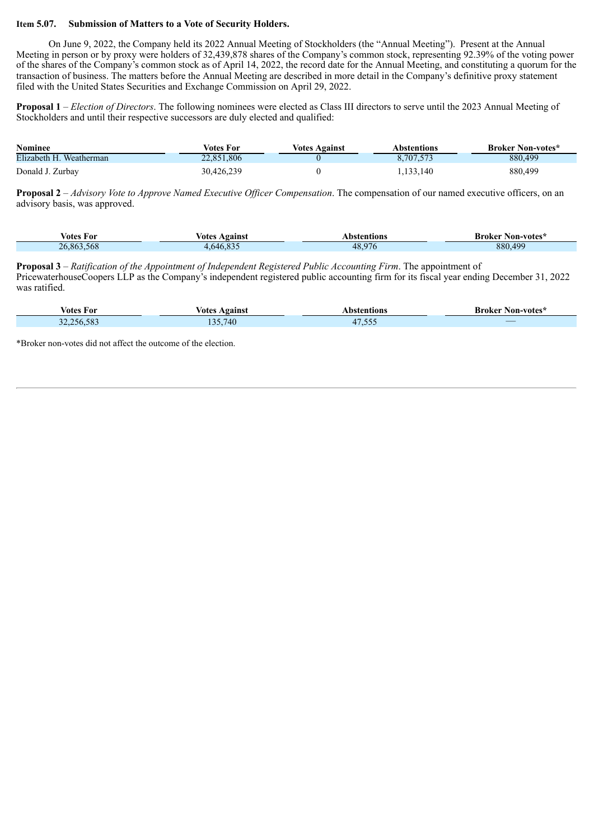### **Item 5.07. Submission of Matters to a Vote of Security Holders.**

On June 9, 2022, the Company held its 2022 Annual Meeting of Stockholders (the "Annual Meeting"). Present at the Annual Meeting in person or by proxy were holders of 32,439,878 shares of the Company's common stock, representing 92.39% of the voting power of the shares of the Company's common stock as of April 14, 2022, the record date for the Annual Meeting, and constituting a quorum for the transaction of business. The matters before the Annual Meeting are described in more detail in the Company's definitive proxy statement filed with the United States Securities and Exchange Commission on April 29, 2022.

**Proposal 1** – *Election of Directors*. The following nominees were elected as Class III directors to serve until the 2023 Annual Meeting of Stockholders and until their respective successors are duly elected and qualified:

| <b>Nominee</b>          | Votes For  | Votes Against | Abstentions | <b>Broker Non-votes*</b> |
|-------------------------|------------|---------------|-------------|--------------------------|
| Elizabeth H. Weatherman | 22.851.806 |               | 8,707,573   | 880,499                  |
| Donald J. Zurbay        | 30,426,239 |               | .133.140    | 880,499                  |

**Proposal 2** *– Advisory Vote to Approve Named Executive Of icer Compensation*. The compensation of our named executive officers, on an advisory basis, was approved.

| $-$<br>votes For | Against<br>votes | Abstentions | <b>Broker Non-votes</b> <sup>*</sup> |
|------------------|------------------|-------------|--------------------------------------|
| 26,863,568       | 4,646,835        | 48,976      | 880,499                              |

**Proposal 3** *– Ratification of the Appointment of Independent Registered Public Accounting Firm*. The appointment of PricewaterhouseCoopers LLP as the Company's independent registered public accounting firm for its fiscal year ending December 31, 2022 was ratified.

| . .<br>votes For | Votes Against                                 | Abstentions     | <b>Broker Non-votes*</b> |
|------------------|-----------------------------------------------|-----------------|--------------------------|
| 32,256,583       | .740<br>$\overline{\phantom{a}}$<br>1 J J 4 1 | E E E<br>4/0.55 | $\overline{\phantom{a}}$ |

\*Broker non-votes did not affect the outcome of the election.